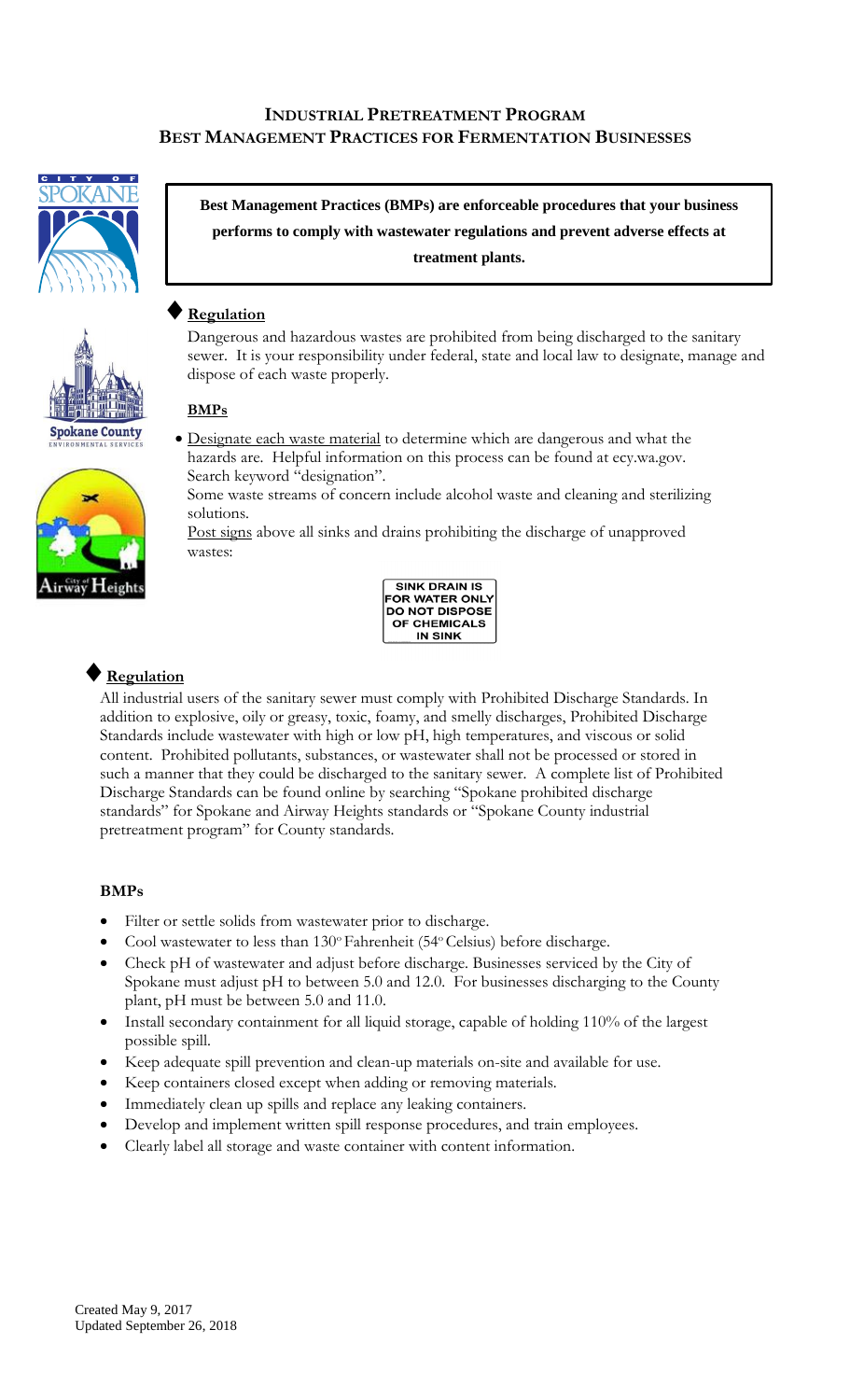## **INDUSTRIAL PRETREATMENT PROGRAM BEST MANAGEMENT PRACTICES FOR FERMENTATION BUSINESSES**





**Best Management Practices (BMPs) are enforceable procedures that your business performs to comply with wastewater regulations and prevent adverse effects at treatment plants.**

# **Regulation**

Dangerous and hazardous wastes are prohibited from being discharged to the sanitary sewer. It is your responsibility under federal, state and local law to designate, manage and dispose of each waste properly.

#### **BMPs**



 Designate each waste material to determine which are dangerous and what the hazards are. Helpful information on this process can be found at ecy.wa.gov. Search keyword "designation".

Some waste streams of concern include alcohol waste and cleaning and sterilizing solutions.

Post signs above all sinks and drains prohibiting the discharge of unapproved wastes:



# **Regulation**

All industrial users of the sanitary sewer must comply with Prohibited Discharge Standards. In addition to explosive, oily or greasy, toxic, foamy, and smelly discharges, Prohibited Discharge Standards include wastewater with high or low pH, high temperatures, and viscous or solid content. Prohibited pollutants, substances, or wastewater shall not be processed or stored in such a manner that they could be discharged to the sanitary sewer. A complete list of Prohibited Discharge Standards can be found online by searching "Spokane prohibited discharge standards" for Spokane and Airway Heights standards or "Spokane County industrial pretreatment program" for County standards.

#### **BMPs**

- Filter or settle solids from wastewater prior to discharge.
- Cool wastewater to less than 130° Fahrenheit (54° Celsius) before discharge.
- Check pH of wastewater and adjust before discharge. Businesses serviced by the City of Spokane must adjust pH to between 5.0 and 12.0. For businesses discharging to the County plant, pH must be between 5.0 and 11.0.
- Install secondary containment for all liquid storage, capable of holding 110% of the largest possible spill.
- Keep adequate spill prevention and clean-up materials on-site and available for use.
- Keep containers closed except when adding or removing materials.
- Immediately clean up spills and replace any leaking containers.
- Develop and implement written spill response procedures, and train employees.
- Clearly label all storage and waste container with content information.